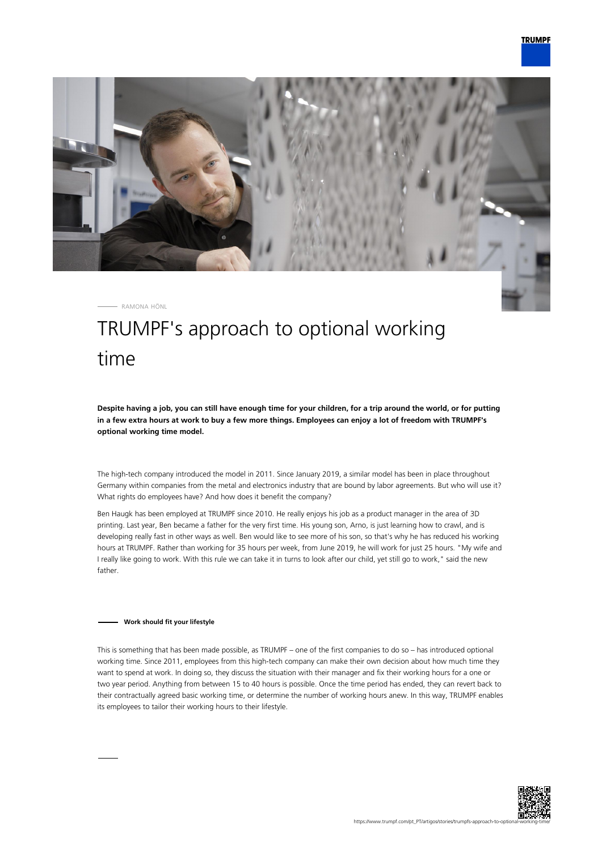

RAMONA HÖNL

# TRUMPF's approach to optional working time

**Despite having a job, you can still have enough time for your children, for a trip around the world, or for putting in a few extra hours at work to buy a few more things. Employees can enjoy a lot of freedom with TRUMPF's optional working time model.**

The high-tech company introduced the model in 2011. Since January 2019, a similar model has been in place throughout Germany within companies from the metal and electronics industry that are bound by labor agreements. But who will use it? What rights do employees have? And how does it benefit the company?

Ben Haugk has been employed at TRUMPF since 2010. He really enjoys his job as a product manager in the area of 3D printing. Last year, Ben became a father for the very first time. His young son, Arno, is just learning how to crawl, and is developing really fast in other ways as well. Ben would like to see more of his son, so that's why he has reduced his working hours at TRUMPF. Rather than working for 35 hours per week, from June 2019, he will work for just 25 hours. "My wife and I really like going to work. With this rule we can take it in turns to look after our child, yet still go to work," said the new father.

### **Work should fit your lifestyle**

This is something that has been made possible, as TRUMPF – one of the first companies to do so – has introduced optional working time. Since 2011, employees from this high-tech company can make their own decision about how much time they want to spend at work. In doing so, they discuss the situation with their manager and fix their working hours for a one or two year period. Anything from between 15 to 40 hours is possible. Once the time period has ended, they can revert back to their contractually agreed basic working time, or determine the number of working hours anew. In this way, TRUMPF enables its employees to tailor their working hours to their lifestyle.